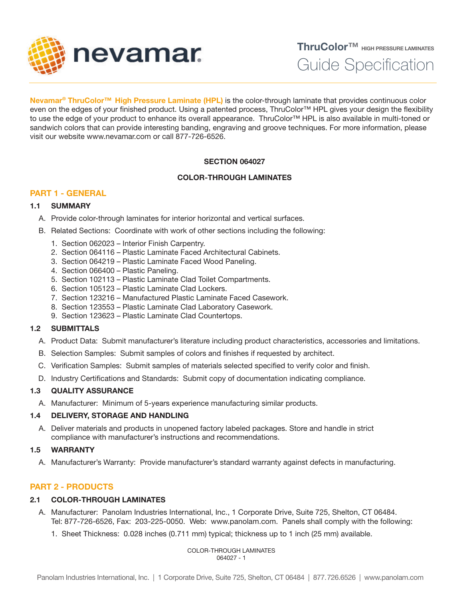

ThruColor™ HIGH PRESSURE LAMINATES

Guide Specification

Nevamar<sup>®</sup> ThruColor<sup>™</sup> High Pressure Laminate (HPL) is the color-through laminate that provides continuous color even on the edges of your finished product. Using a patented process, ThruColor™ HPL gives your design the flexibility to use the edge of your product to enhance its overall appearance. ThruColor™ HPL is also available in multi-toned or sandwich colors that can provide interesting banding, engraving and groove techniques. For more information, please visit our website www.nevamar.com or call 877-726-6526.

# SECTION 064027

## COLOR-THROUGH LAMINATES

# PART 1 - GENERAL

## 1.1 SUMMARY

- A. Provide color-through laminates for interior horizontal and vertical surfaces.
- B. Related Sections: Coordinate with work of other sections including the following:
	- 1. Section 062023 Interior Finish Carpentry.
	- 2. Section 064116 Plastic Laminate Faced Architectural Cabinets.
	- 3. Section 064219 Plastic Laminate Faced Wood Paneling.
	- 4. Section 066400 Plastic Paneling.
	- 5. Section 102113 Plastic Laminate Clad Toilet Compartments.
	- 6. Section 105123 Plastic Laminate Clad Lockers.
	- 7. Section 123216 Manufactured Plastic Laminate Faced Casework.
	- 8. Section 123553 Plastic Laminate Clad Laboratory Casework.
	- 9. Section 123623 Plastic Laminate Clad Countertops.

# 1.2 SUBMITTALS

- A. Product Data: Submit manufacturer's literature including product characteristics, accessories and limitations.
- B. Selection Samples: Submit samples of colors and finishes if requested by architect.
- C. Verification Samples: Submit samples of materials selected specified to verify color and finish.
- D. Industry Certifications and Standards: Submit copy of documentation indicating compliance.

## 1.3 QUALITY ASSURANCE

A. Manufacturer: Minimum of 5-years experience manufacturing similar products.

# 1.4 DELIVERY, STORAGE AND HANDLING

A. Deliver materials and products in unopened factory labeled packages. Store and handle in strict compliance with manufacturer's instructions and recommendations.

## 1.5 WARRANTY

A. Manufacturer's Warranty: Provide manufacturer's standard warranty against defects in manufacturing.

# PART 2 - PRODUCTS

# 2.1 COLOR-THROUGH LAMINATES

- A. Manufacturer: Panolam Industries International, Inc., 1 Corporate Drive, Suite 725, Shelton, CT 06484. Tel: 877-726-6526, Fax: 203-225-0050. Web: www.panolam.com. Panels shall comply with the following:
	- 1. Sheet Thickness: 0.028 inches (0.711 mm) typical; thickness up to 1 inch (25 mm) available.

COLOR-THROUGH LAMINATES 064027 - 1